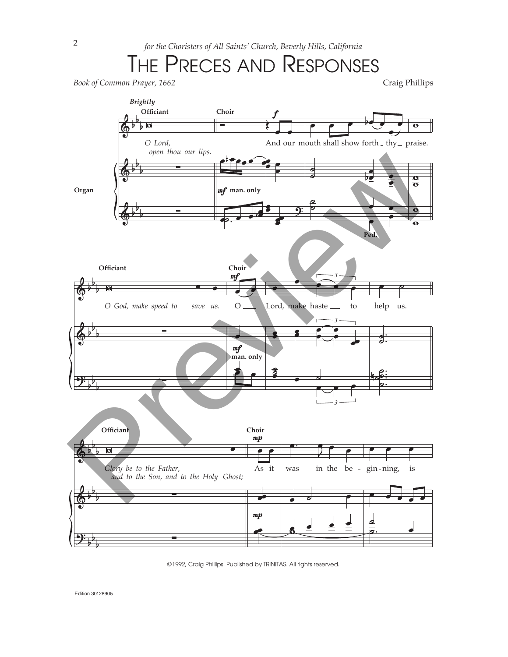## THE PRECES AND RESPONSES



©1992, Craig Phillips. Published by TRINITAS. All rights reserved.

Edition 30128905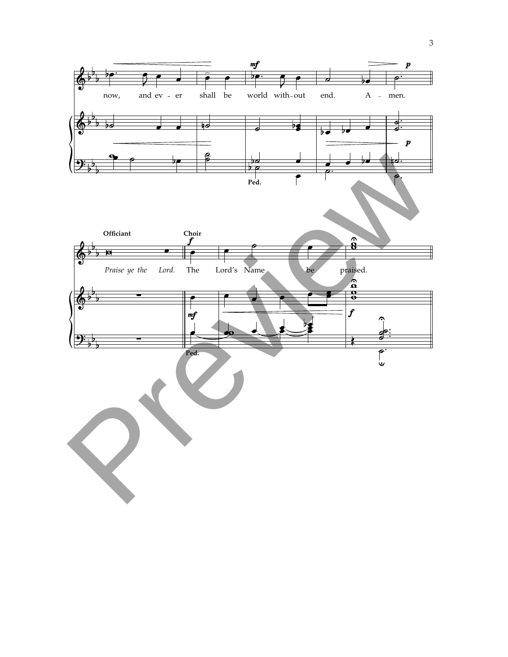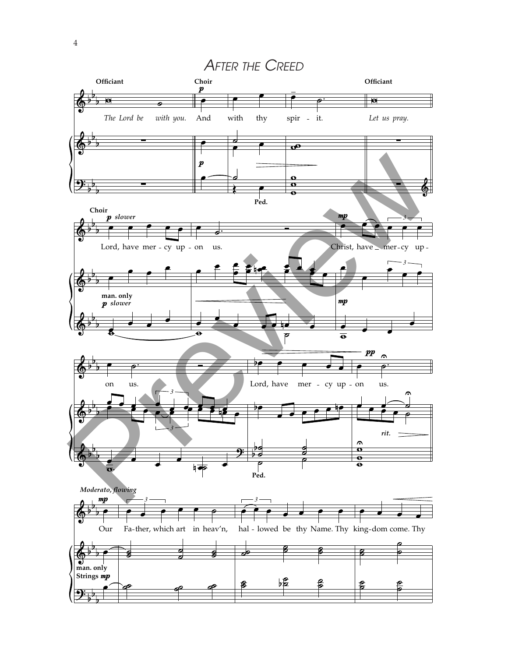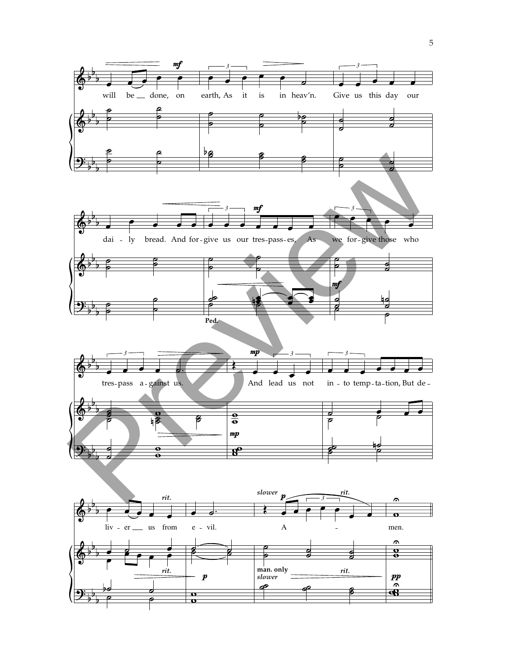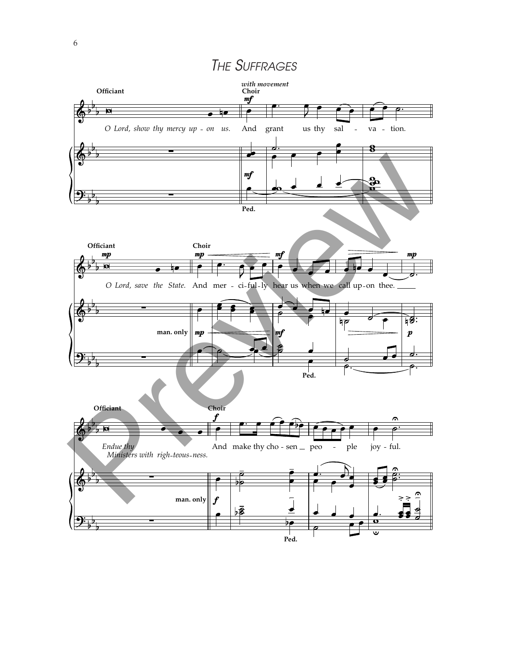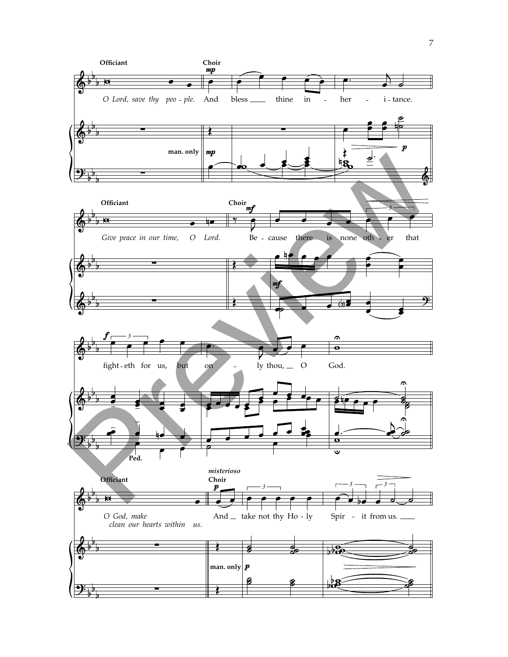